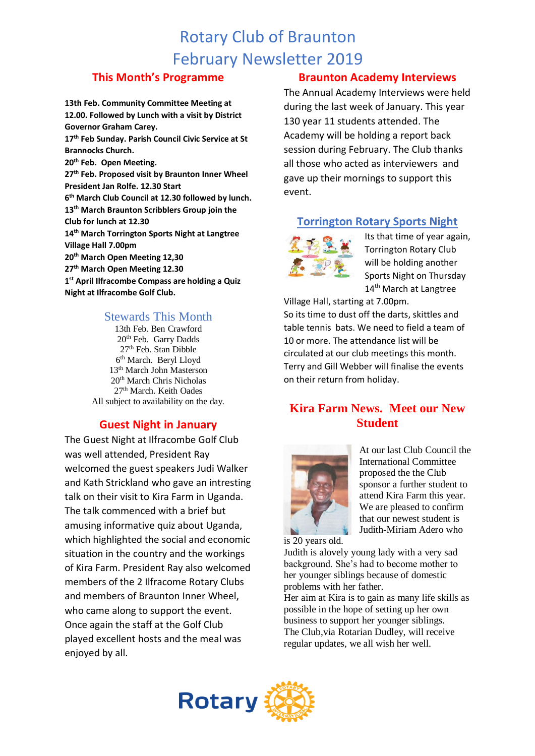# Rotary Club of Braunton February Newsletter 2019

### **This Month's Programme**

**13th Feb. Community Committee Meeting at 12.00. Followed by Lunch with a visit by District Governor Graham Carey. 17th Feb Sunday. Parish Council Civic Service at St Brannocks Church. 20th Feb. Open Meeting. 27th Feb. Proposed visit by Braunton Inner Wheel President Jan Rolfe. 12.30 Start 6 th March Club Council at 12.30 followed by lunch. 13th March Braunton Scribblers Group join the Club for lunch at 12.30 14th March Torrington Sports Night at Langtree Village Hall 7.00pm 20th March Open Meeting 12,30 27th March Open Meeting 12.30 1 st April Ilfracombe Compass are holding a Quiz Night at Ilfracombe Golf Club.**

### Stewards This Month

13th Feb. Ben Crawford 20th Feb. Garry Dadds 27<sup>th</sup> Feb. Stan Dibble 6 th March. Beryl Lloyd 13th March John Masterson 20th March Chris Nicholas 27<sup>th</sup> March. Keith Oades All subject to availability on the day.

## **Guest Night in January**

The Guest Night at Ilfracombe Golf Club was well attended, President Ray welcomed the guest speakers Judi Walker and Kath Strickland who gave an intresting talk on their visit to Kira Farm in Uganda. The talk commenced with a brief but amusing informative quiz about Uganda, which highlighted the social and economic situation in the country and the workings of Kira Farm. President Ray also welcomed members of the 2 Ilfracome Rotary Clubs and members of Braunton Inner Wheel, who came along to support the event. Once again the staff at the Golf Club played excellent hosts and the meal was enjoyed by all.

## **Braunton Academy Interviews**

The Annual Academy Interviews were held during the last week of January. This year 130 year 11 students attended. The Academy will be holding a report back session during February. The Club thanks all those who acted as interviewers and gave up their mornings to support this event.

## **Torrington Rotary Sports Night**



Its that time of year again, Torrington Rotary Club will be holding another Sports Night on Thursday 14<sup>th</sup> March at Langtree

Village Hall, starting at 7.00pm. So its time to dust off the darts, skittles and table tennis bats. We need to field a team of 10 or more. The attendance list will be circulated at our club meetings this month. Terry and Gill Webber will finalise the events on their return from holiday.

# **Kira Farm News. Meet our New Student**



At our last Club Council the International Committee proposed the the Club sponsor a further student to attend Kira Farm this year. We are pleased to confirm that our newest student is Judith-Miriam Adero who

is 20 years old.

Judith is alovely young lady with a very sad background. She's had to become mother to her younger siblings because of domestic problems with her father.

Her aim at Kira is to gain as many life skills as possible in the hope of setting up her own business to support her younger siblings. The Club,via Rotarian Dudley, will receive regular updates, we all wish her well.